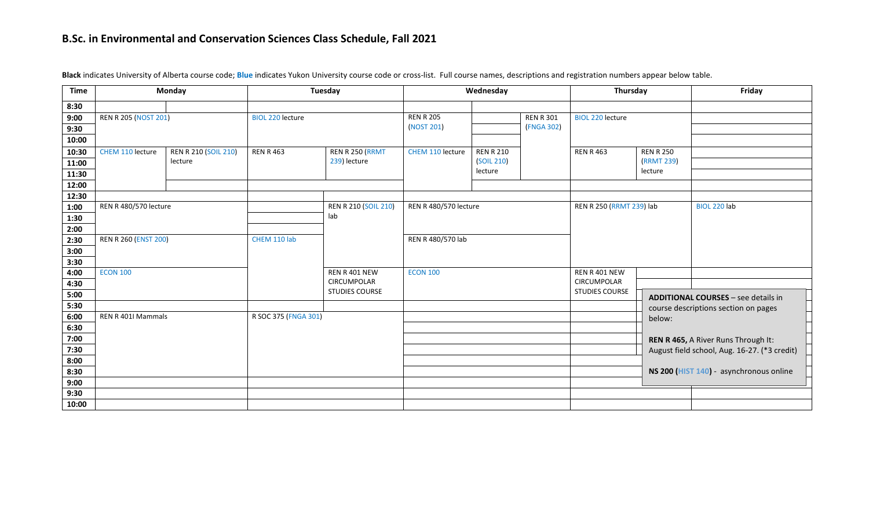| <b>Time</b>  | Monday                       |                             | Tuesday                 |                                     | Wednesday                    |                   |                          | Thursday                                |                                            | Friday                                                                              |
|--------------|------------------------------|-----------------------------|-------------------------|-------------------------------------|------------------------------|-------------------|--------------------------|-----------------------------------------|--------------------------------------------|-------------------------------------------------------------------------------------|
| 8:30         |                              |                             |                         |                                     |                              |                   |                          |                                         |                                            |                                                                                     |
| 9:00         | <b>REN R 205 (NOST 201)</b>  |                             | <b>BIOL 220 lecture</b> |                                     | <b>REN R 205</b>             |                   | <b>REN R 301</b>         | <b>BIOL 220 lecture</b>                 |                                            |                                                                                     |
| 9:30         |                              |                             |                         |                                     | (NOST 201)                   |                   | (FNGA 302)               |                                         |                                            |                                                                                     |
| 10:00        |                              |                             |                         |                                     |                              |                   |                          |                                         |                                            |                                                                                     |
| 10:30        | CHEM 110 lecture             | <b>REN R 210 (SOIL 210)</b> | <b>REN R 463</b>        | REN R 250 (RRMT                     | CHEM 110 lecture             | <b>REN R 210</b>  |                          | <b>REN R 463</b>                        | <b>REN R 250</b>                           |                                                                                     |
| 11:00        |                              | lecture                     |                         | 239) lecture                        |                              | (SOIL 210)        |                          |                                         | (RRMT 239)                                 |                                                                                     |
| 11:30        |                              |                             |                         |                                     |                              | lecture           |                          |                                         | lecture                                    |                                                                                     |
| 12:00        |                              |                             |                         |                                     |                              |                   |                          |                                         |                                            |                                                                                     |
| 12:30        |                              |                             |                         |                                     |                              |                   |                          |                                         |                                            |                                                                                     |
| 1:00         | <b>REN R 480/570 lecture</b> |                             |                         | <b>REN R 210 (SOIL 210)</b>         | <b>REN R 480/570 lecture</b> |                   | REN R 250 (RRMT 239) lab |                                         | BIOL 220 lab                               |                                                                                     |
| 1:30         |                              |                             |                         | lab                                 |                              |                   |                          |                                         |                                            |                                                                                     |
| 2:00         |                              |                             |                         |                                     |                              |                   |                          |                                         |                                            |                                                                                     |
| 2:30         | <b>REN R 260 (ENST 200)</b>  |                             | CHEM 110 lab            |                                     |                              | REN R 480/570 lab |                          |                                         |                                            |                                                                                     |
| 3:00         |                              |                             |                         |                                     |                              |                   |                          |                                         |                                            |                                                                                     |
| 3:30         |                              |                             |                         | REN R 401 NEW<br><b>CIRCUMPOLAR</b> |                              | <b>ECON 100</b>   |                          |                                         |                                            |                                                                                     |
| 4:00         | <b>ECON 100</b>              |                             |                         |                                     |                              |                   |                          |                                         |                                            |                                                                                     |
| 4:30         |                              |                             | <b>STUDIES COURSE</b>   |                                     |                              |                   |                          | CIRCUMPOLAR<br><b>STUDIES COURSE</b>    |                                            |                                                                                     |
| 5:00         |                              |                             |                         |                                     |                              |                   |                          |                                         | <b>ADDITIONAL COURSES - see details in</b> |                                                                                     |
| 5:30<br>6:00 | REN R 401I Mammals           |                             |                         |                                     |                              |                   |                          |                                         |                                            | course descriptions section on pages                                                |
| 6:30         |                              |                             | R SOC 375 (FNGA 301)    |                                     |                              |                   |                          | below:                                  |                                            |                                                                                     |
| 7:00         |                              |                             |                         |                                     |                              |                   |                          |                                         |                                            |                                                                                     |
| 7:30         |                              |                             |                         |                                     |                              |                   |                          |                                         |                                            | REN R 465, A River Runs Through It:<br>August field school, Aug. 16-27. (*3 credit) |
| 8:00         |                              |                             |                         |                                     |                              |                   |                          |                                         |                                            |                                                                                     |
| 8:30         |                              |                             |                         |                                     |                              |                   |                          | NS 200 (HIST 140) - asynchronous online |                                            |                                                                                     |
| 9:00         |                              |                             |                         |                                     |                              |                   |                          |                                         |                                            |                                                                                     |
| 9:30         |                              |                             |                         |                                     |                              |                   |                          |                                         |                                            |                                                                                     |
| 10:00        |                              |                             |                         |                                     |                              |                   |                          |                                         |                                            |                                                                                     |

**Black** indicates University of Alberta course code; **Blue** indicates Yukon University course code or cross-list. Full course names, descriptions and registration numbers appear below table.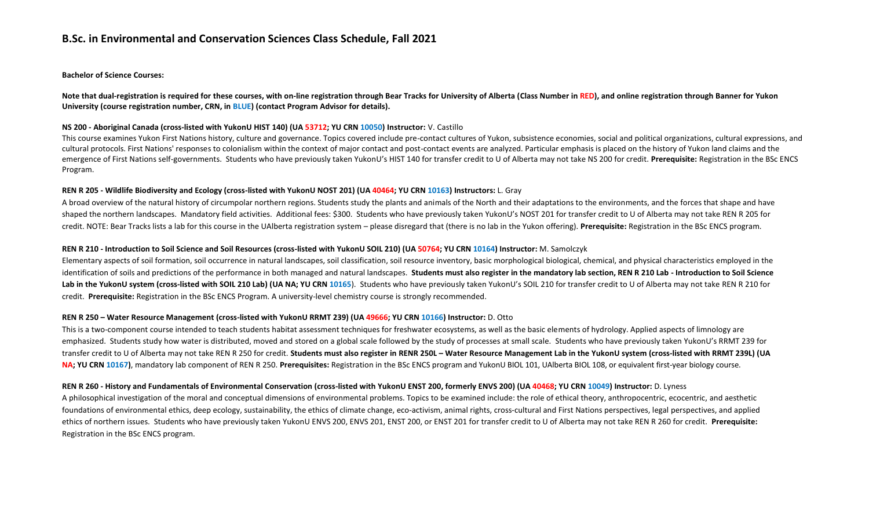**Bachelor of Science Courses:**

**Note that dual-registration is required for these courses, with on-line registration through Bear Tracks for University of Alberta (Class Number in RED), and online registration through Banner for Yukon University (course registration number, CRN, in BLUE) (contact Program Advisor for details).** 

### **NS 200 - Aboriginal Canada (cross-listed with YukonU HIST 140) (UA 53712; YU CRN 10050) Instructor:** V. Castillo

This course examines Yukon First Nations history, culture and governance. Topics covered include pre-contact cultures of Yukon, subsistence economies, social and political organizations, cultural expressions, and cultural protocols. First Nations' responses to colonialism within the context of major contact and post-contact events are analyzed. Particular emphasis is placed on the history of Yukon land claims and the emergence of First Nations self-governments. Students who have previously taken YukonU's HIST 140 for transfer credit to U of Alberta may not take NS 200 for credit. **Prerequisite:** Registration in the BSc ENCS Program.

### **REN R 205 - Wildlife Biodiversity and Ecology (cross-listed with YukonU NOST 201) (UA 40464; YU CRN 10163) Instructors:** L. Gray

A broad overview of the natural history of circumpolar northern regions. Students study the plants and animals of the North and their adaptations to the environments, and the forces that shape and have shaped the northern landscapes. Mandatory field activities. Additional fees: \$300. Students who have previously taken YukonU's NOST 201 for transfer credit to U of Alberta may not take REN R 205 for credit. NOTE: Bear Tracks lists a lab for this course in the UAlberta registration system – please disregard that (there is no lab in the Yukon offering). **Prerequisite:** Registration in the BSc ENCS program.

### **REN R 210 - Introduction to Soil Science and Soil Resources (cross-listed with YukonU SOIL 210) (UA 50764; YU CRN 10164) Instructor:** M. Samolczyk

Elementary aspects of soil formation, soil occurrence in natural landscapes, soil classification, soil resource inventory, basic morphological biological, chemical, and physical characteristics employed in the identification of soils and predictions of the performance in both managed and natural landscapes. **Students must also register in the mandatory lab section, REN R 210 Lab - Introduction to Soil Science**  Lab in the YukonU system (cross-listed with SOIL 210 Lab) (UA NA; YU CRN 10165). Students who have previously taken YukonU's SOIL 210 for transfer credit to U of Alberta may not take REN R 210 for credit. **Prerequisite:** Registration in the BSc ENCS Program. A university-level chemistry course is strongly recommended.

# **REN R 250 – Water Resource Management (cross-listed with YukonU RRMT 239) (UA 49666; YU CRN 10166) Instructor:** D. Otto

This is a two-component course intended to teach students habitat assessment techniques for freshwater ecosystems, as well as the basic elements of hydrology. Applied aspects of limnology are emphasized. Students study how water is distributed, moved and stored on a global scale followed by the study of processes at small scale. Students who have previously taken YukonU's RRMT 239 for transfer credit to U of Alberta may not take REN R 250 for credit. **Students must also register in RENR 250L – Water Resource Management Lab in the YukonU system (cross-listed with RRMT 239L) (UA**  NA; YU CRN 10167), mandatory lab component of REN R 250. Prerequisites: Registration in the BSc ENCS program and YukonU BIOL 101, UAlberta BIOL 108, or equivalent first-year biology course.

# **REN R 260 - History and Fundamentals of Environmental Conservation (cross-listed with YukonU ENST 200, formerly ENVS 200) (UA 40468; YU CRN 10049) Instructor:** D. Lyness

A philosophical investigation of the moral and conceptual dimensions of environmental problems. Topics to be examined include: the role of ethical theory, anthropocentric, ecocentric, and aesthetic foundations of environmental ethics, deep ecology, sustainability, the ethics of climate change, eco-activism, animal rights, cross-cultural and First Nations perspectives, legal perspectives, and applied ethics of northern issues. Students who have previously taken YukonU ENVS 200, ENVS 201, ENST 200, or ENST 201 for transfer credit to U of Alberta may not take REN R 260 for credit. **Prerequisite:**  Registration in the BSc ENCS program.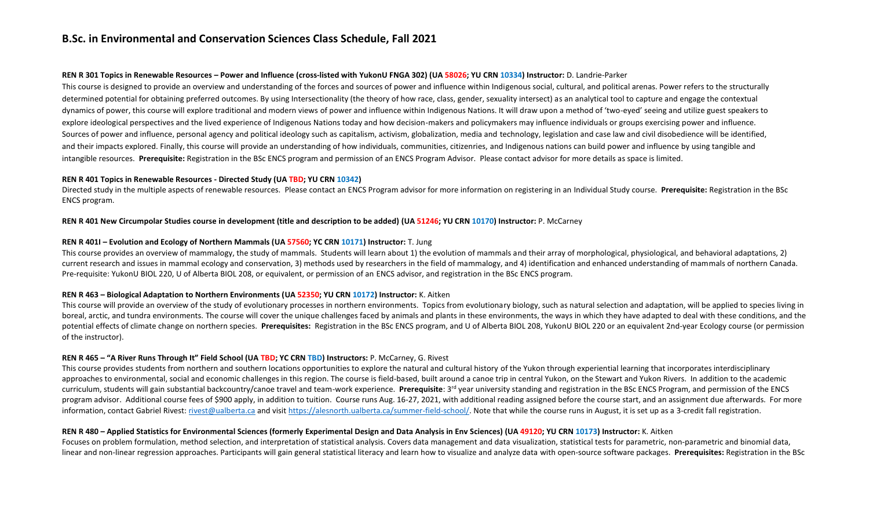#### **REN R 301 Topics in Renewable Resources – Power and Influence (cross-listed with YukonU FNGA 302) (UA 58026; YU CRN 10334) Instructor:** D. Landrie-Parker

This course is designed to provide an overview and understanding of the forces and sources of power and influence within Indigenous social, cultural, and political arenas. Power refers to the structurally determined potential for obtaining preferred outcomes. By using Intersectionality (the theory of how race, class, gender, sexuality intersect) as an analytical tool to capture and engage the contextual dynamics of power, this course will explore traditional and modern views of power and influence within Indigenous Nations. It will draw upon a method of 'two-eyed' seeing and utilize guest speakers to explore ideological perspectives and the lived experience of Indigenous Nations today and how decision-makers and policymakers may influence individuals or groups exercising power and influence. Sources of power and influence, personal agency and political ideology such as capitalism, activism, globalization, media and technology, legislation and case law and civil disobedience will be identified, and their impacts explored. Finally, this course will provide an understanding of how individuals, communities, citizenries, and Indigenous nations can build power and influence by using tangible and intangible resources. **Prerequisite:** Registration in the BSc ENCS program and permission of an ENCS Program Advisor. Please contact advisor for more details as space is limited.

### **REN R 401 Topics in Renewable Resources - Directed Study (UA TBD; YU CRN 10342)**

Directed study in the multiple aspects of renewable resources. Please contact an ENCS Program advisor for more information on registering in an Individual Study course. **Prerequisite:** Registration in the BSc ENCS program.

### **REN R 401 New Circumpolar Studies course in development (title and description to be added) (UA 51246; YU CRN 10170) Instructor:** P. McCarney

### **REN R 401I – Evolution and Ecology of Northern Mammals (UA 57560; YC CRN 10171) Instructor:** T. Jung

This course provides an overview of mammalogy, the study of mammals. Students will learn about 1) the evolution of mammals and their array of morphological, physiological, and behavioral adaptations, 2) current research and issues in mammal ecology and conservation, 3) methods used by researchers in the field of mammalogy, and 4) identification and enhanced understanding of mammals of northern Canada. Pre-requisite: YukonU BIOL 220, U of Alberta BIOL 208, or equivalent, or permission of an ENCS advisor, and registration in the BSc ENCS program.

# **REN R 463 – Biological Adaptation to Northern Environments (UA 52350; YU CRN 10172) Instructor:** K. Aitken

This course will provide an overview of the study of evolutionary processes in northern environments. Topics from evolutionary biology, such as natural selection and adaptation, will be applied to species living in boreal, arctic, and tundra environments. The course will cover the unique challenges faced by animals and plants in these environments, the ways in which they have adapted to deal with these conditions, and the potential effects of climate change on northern species. **Prerequisites:** Registration in the BSc ENCS program, and U of Alberta BIOL 208, YukonU BIOL 220 or an equivalent 2nd-year Ecology course (or permission of the instructor).

# **REN R 465 – "A River Runs Through It" Field School (UA TBD; YC CRN TBD) Instructors:** P. McCarney, G. Rivest

This course provides students from northern and southern locations opportunities to explore the natural and cultural history of the Yukon through experiential learning that incorporates interdisciplinary approaches to environmental, social and economic challenges in this region. The course is field-based, built around a canoe trip in central Yukon, on the Stewart and Yukon Rivers. In addition to the academic curriculum, students will gain substantial backcountry/canoe travel and team-work experience. Prerequisite: 3<sup>rd</sup> year university standing and registration in the BSc ENCS Program, and permission of the ENCS program advisor. Additional course fees of \$900 apply, in addition to tuition. Course runs Aug. 16-27, 2021, with additional reading assigned before the course start, and an assignment due afterwards. For more information, contact Gabriel Rivest: [rivest@ualberta.ca](mailto:rivest@ualberta.ca) and visi[t https://alesnorth.ualberta.ca/summer-field-school/.](https://alesnorth.ualberta.ca/summer-field-school/) Note that while the course runs in August, it is set up as a 3-credit fall registration.

#### **REN R 480 – Applied Statistics for Environmental Sciences (formerly Experimental Design and Data Analysis in Env Sciences) (UA 49120; YU CRN 10173) Instructor:** K. Aitken

Focuses on problem formulation, method selection, and interpretation of statistical analysis. Covers data management and data visualization, statistical tests for parametric, non-parametric and binomial data, linear and non-linear regression approaches. Participants will gain general statistical literacy and learn how to visualize and analyze data with open-source software packages. **Prerequisites:** Registration in the BSc